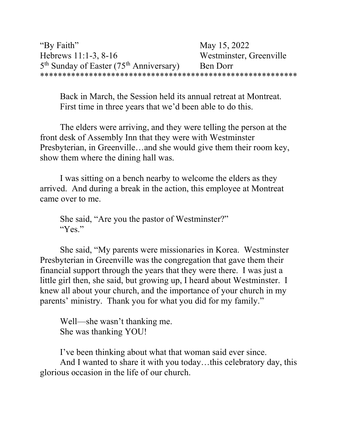Back in March, the Session held its annual retreat at Montreat. First time in three years that we'd been able to do this.

The elders were arriving, and they were telling the person at the front desk of Assembly Inn that they were with Westminster Presbyterian, in Greenville…and she would give them their room key, show them where the dining hall was.

I was sitting on a bench nearby to welcome the elders as they arrived. And during a break in the action, this employee at Montreat came over to me.

She said, "Are you the pastor of Westminster?" "Yes."

She said, "My parents were missionaries in Korea. Westminster Presbyterian in Greenville was the congregation that gave them their financial support through the years that they were there. I was just a little girl then, she said, but growing up, I heard about Westminster. I knew all about your church, and the importance of your church in my parents' ministry. Thank you for what you did for my family."

Well—she wasn't thanking me. She was thanking YOU!

I've been thinking about what that woman said ever since.

And I wanted to share it with you today…this celebratory day, this glorious occasion in the life of our church.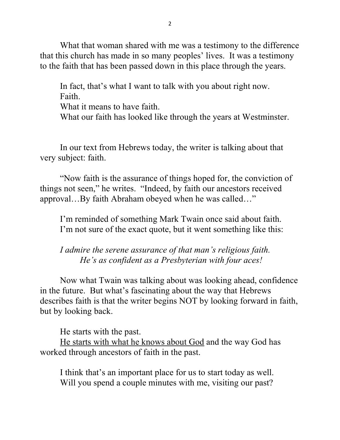What that woman shared with me was a testimony to the difference that this church has made in so many peoples' lives. It was a testimony to the faith that has been passed down in this place through the years.

In fact, that's what I want to talk with you about right now. Faith.

What it means to have faith.

What our faith has looked like through the years at Westminster.

In our text from Hebrews today, the writer is talking about that very subject: faith.

"Now faith is the assurance of things hoped for, the conviction of things not seen," he writes. "Indeed, by faith our ancestors received approval…By faith Abraham obeyed when he was called…"

I'm reminded of something Mark Twain once said about faith. I'm not sure of the exact quote, but it went something like this:

I admire the serene assurance of that man's religious faith. He's as confident as a Presbyterian with four aces!

 Now what Twain was talking about was looking ahead, confidence in the future. But what's fascinating about the way that Hebrews describes faith is that the writer begins NOT by looking forward in faith, but by looking back.

He starts with the past.

He starts with what he knows about God and the way God has worked through ancestors of faith in the past.

I think that's an important place for us to start today as well. Will you spend a couple minutes with me, visiting our past?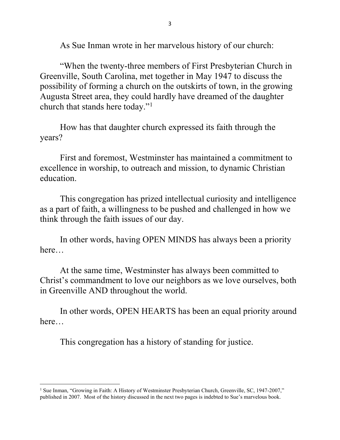As Sue Inman wrote in her marvelous history of our church:

"When the twenty-three members of First Presbyterian Church in Greenville, South Carolina, met together in May 1947 to discuss the possibility of forming a church on the outskirts of town, in the growing Augusta Street area, they could hardly have dreamed of the daughter church that stands here today."<sup>1</sup>

How has that daughter church expressed its faith through the years?

First and foremost, Westminster has maintained a commitment to excellence in worship, to outreach and mission, to dynamic Christian education.

This congregation has prized intellectual curiosity and intelligence as a part of faith, a willingness to be pushed and challenged in how we think through the faith issues of our day.

In other words, having OPEN MINDS has always been a priority here…

At the same time, Westminster has always been committed to Christ's commandment to love our neighbors as we love ourselves, both in Greenville AND throughout the world.

In other words, OPEN HEARTS has been an equal priority around here…

This congregation has a history of standing for justice.

<sup>&</sup>lt;sup>1</sup> Sue Inman, "Growing in Faith: A History of Westminster Presbyterian Church, Greenville, SC, 1947-2007," published in 2007. Most of the history discussed in the next two pages is indebted to Sue's marvelous book.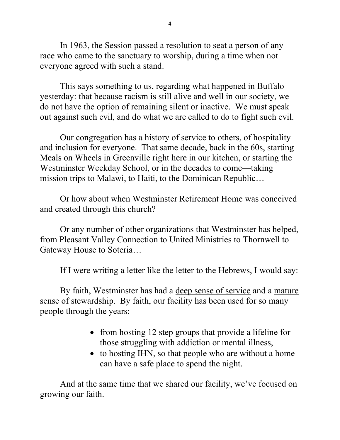In 1963, the Session passed a resolution to seat a person of any race who came to the sanctuary to worship, during a time when not everyone agreed with such a stand.

This says something to us, regarding what happened in Buffalo yesterday: that because racism is still alive and well in our society, we do not have the option of remaining silent or inactive. We must speak out against such evil, and do what we are called to do to fight such evil.

 Our congregation has a history of service to others, of hospitality and inclusion for everyone. That same decade, back in the 60s, starting Meals on Wheels in Greenville right here in our kitchen, or starting the Westminster Weekday School, or in the decades to come—taking mission trips to Malawi, to Haiti, to the Dominican Republic…

Or how about when Westminster Retirement Home was conceived and created through this church?

Or any number of other organizations that Westminster has helped, from Pleasant Valley Connection to United Ministries to Thornwell to Gateway House to Soteria…

If I were writing a letter like the letter to the Hebrews, I would say:

By faith, Westminster has had a deep sense of service and a mature sense of stewardship. By faith, our facility has been used for so many people through the years:

- from hosting 12 step groups that provide a lifeline for those struggling with addiction or mental illness,
- to hosting IHN, so that people who are without a home can have a safe place to spend the night.

And at the same time that we shared our facility, we've focused on growing our faith.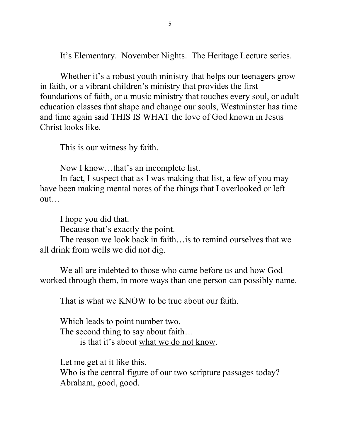It's Elementary. November Nights. The Heritage Lecture series.

Whether it's a robust youth ministry that helps our teenagers grow in faith, or a vibrant children's ministry that provides the first foundations of faith, or a music ministry that touches every soul, or adult education classes that shape and change our souls, Westminster has time and time again said THIS IS WHAT the love of God known in Jesus Christ looks like.

This is our witness by faith.

Now I know…that's an incomplete list.

In fact, I suspect that as I was making that list, a few of you may have been making mental notes of the things that I overlooked or left out…

I hope you did that.

Because that's exactly the point.

The reason we look back in faith…is to remind ourselves that we all drink from wells we did not dig.

We all are indebted to those who came before us and how God worked through them, in more ways than one person can possibly name.

That is what we KNOW to be true about our faith.

Which leads to point number two. The second thing to say about faith… is that it's about what we do not know.

Let me get at it like this. Who is the central figure of our two scripture passages today? Abraham, good, good.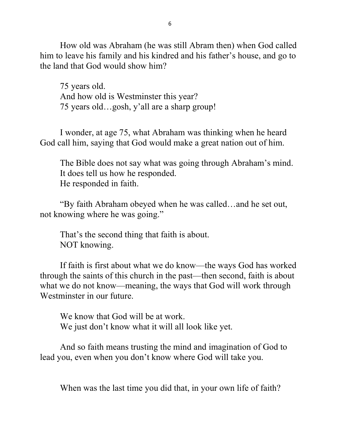How old was Abraham (he was still Abram then) when God called him to leave his family and his kindred and his father's house, and go to the land that God would show him?

75 years old. And how old is Westminster this year? 75 years old…gosh, y'all are a sharp group!

I wonder, at age 75, what Abraham was thinking when he heard God call him, saying that God would make a great nation out of him.

The Bible does not say what was going through Abraham's mind. It does tell us how he responded. He responded in faith.

"By faith Abraham obeyed when he was called…and he set out, not knowing where he was going."

 That's the second thing that faith is about. NOT knowing.

If faith is first about what we do know—the ways God has worked through the saints of this church in the past—then second, faith is about what we do not know—meaning, the ways that God will work through Westminster in our future.

We know that God will be at work. We just don't know what it will all look like yet.

 And so faith means trusting the mind and imagination of God to lead you, even when you don't know where God will take you.

When was the last time you did that, in your own life of faith?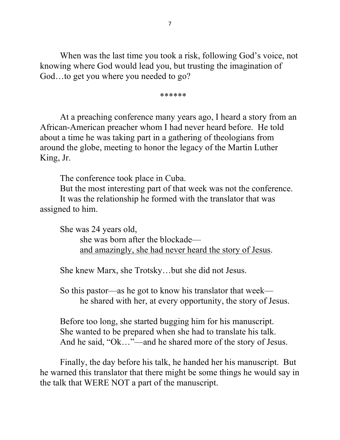When was the last time you took a risk, following God's voice, not knowing where God would lead you, but trusting the imagination of God…to get you where you needed to go?

\*\*\*\*\*\*

At a preaching conference many years ago, I heard a story from an African-American preacher whom I had never heard before. He told about a time he was taking part in a gathering of theologians from around the globe, meeting to honor the legacy of the Martin Luther King, Jr.

The conference took place in Cuba.

But the most interesting part of that week was not the conference. It was the relationship he formed with the translator that was assigned to him.

 She was 24 years old, she was born after the blockade and amazingly, she had never heard the story of Jesus.

She knew Marx, she Trotsky…but she did not Jesus.

So this pastor—as he got to know his translator that week he shared with her, at every opportunity, the story of Jesus.

 Before too long, she started bugging him for his manuscript. She wanted to be prepared when she had to translate his talk. And he said, "Ok…"—and he shared more of the story of Jesus.

 Finally, the day before his talk, he handed her his manuscript. But he warned this translator that there might be some things he would say in the talk that WERE NOT a part of the manuscript.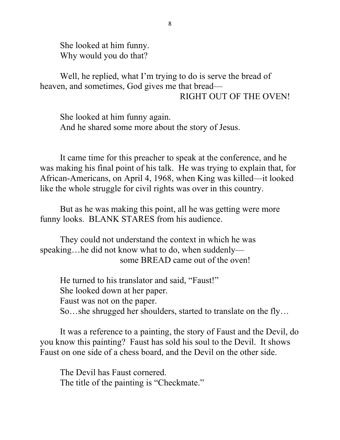She looked at him funny. Why would you do that?

Well, he replied, what I'm trying to do is serve the bread of heaven, and sometimes, God gives me that bread— RIGHT OUT OF THE OVEN!

 She looked at him funny again. And he shared some more about the story of Jesus.

 It came time for this preacher to speak at the conference, and he was making his final point of his talk. He was trying to explain that, for African-Americans, on April 4, 1968, when King was killed—it looked like the whole struggle for civil rights was over in this country.

 But as he was making this point, all he was getting were more funny looks. BLANK STARES from his audience.

They could not understand the context in which he was speaking…he did not know what to do, when suddenly some BREAD came out of the oven!

 He turned to his translator and said, "Faust!" She looked down at her paper. Faust was not on the paper. So…she shrugged her shoulders, started to translate on the fly…

 It was a reference to a painting, the story of Faust and the Devil, do you know this painting? Faust has sold his soul to the Devil. It shows Faust on one side of a chess board, and the Devil on the other side.

The Devil has Faust cornered. The title of the painting is "Checkmate."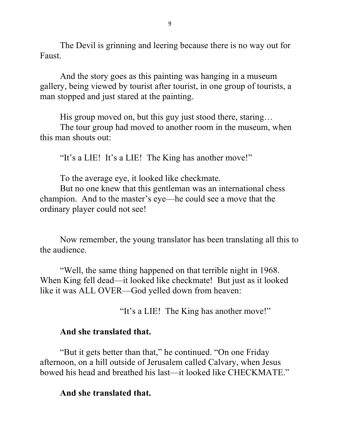The Devil is grinning and leering because there is no way out for Faust.

 And the story goes as this painting was hanging in a museum gallery, being viewed by tourist after tourist, in one group of tourists, a man stopped and just stared at the painting.

His group moved on, but this guy just stood there, staring…

 The tour group had moved to another room in the museum, when this man shouts out:

"It's a LIE! It's a LIE! The King has another move!"

To the average eye, it looked like checkmate.

 But no one knew that this gentleman was an international chess champion. And to the master's eye—he could see a move that the ordinary player could not see!

 Now remember, the young translator has been translating all this to the audience.

 "Well, the same thing happened on that terrible night in 1968. When King fell dead—it looked like checkmate! But just as it looked like it was ALL OVER—God yelled down from heaven:

"It's a LIE! The King has another move!"

## And she translated that.

 "But it gets better than that," he continued. "On one Friday afternoon, on a hill outside of Jerusalem called Calvary, when Jesus bowed his head and breathed his last—it looked like CHECKMATE."

## And she translated that.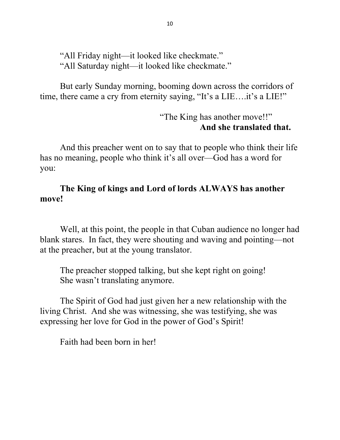"All Friday night—it looked like checkmate." "All Saturday night—it looked like checkmate."

 But early Sunday morning, booming down across the corridors of time, there came a cry from eternity saying, "It's a LIE....it's a LIE!"

> "The King has another move!!" And she translated that.

 And this preacher went on to say that to people who think their life has no meaning, people who think it's all over—God has a word for you:

## The King of kings and Lord of lords ALWAYS has another move!

 Well, at this point, the people in that Cuban audience no longer had blank stares. In fact, they were shouting and waving and pointing—not at the preacher, but at the young translator.

The preacher stopped talking, but she kept right on going! She wasn't translating anymore.

The Spirit of God had just given her a new relationship with the living Christ. And she was witnessing, she was testifying, she was expressing her love for God in the power of God's Spirit!

Faith had been born in her!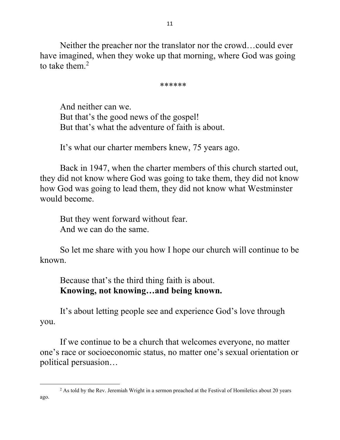Neither the preacher nor the translator nor the crowd…could ever have imagined, when they woke up that morning, where God was going to take them. $<sup>2</sup>$ </sup>

## \*\*\*\*\*\*

And neither can we. But that's the good news of the gospel! But that's what the adventure of faith is about.

It's what our charter members knew, 75 years ago.

 Back in 1947, when the charter members of this church started out, they did not know where God was going to take them, they did not know how God was going to lead them, they did not know what Westminster would become.

 But they went forward without fear. And we can do the same.

 So let me share with you how I hope our church will continue to be known.

 Because that's the third thing faith is about. Knowing, not knowing…and being known.

 It's about letting people see and experience God's love through you.

If we continue to be a church that welcomes everyone, no matter one's race or socioeconomic status, no matter one's sexual orientation or political persuasion…

<sup>&</sup>lt;sup>2</sup> As told by the Rev. Jeremiah Wright in a sermon preached at the Festival of Homiletics about 20 years ago.